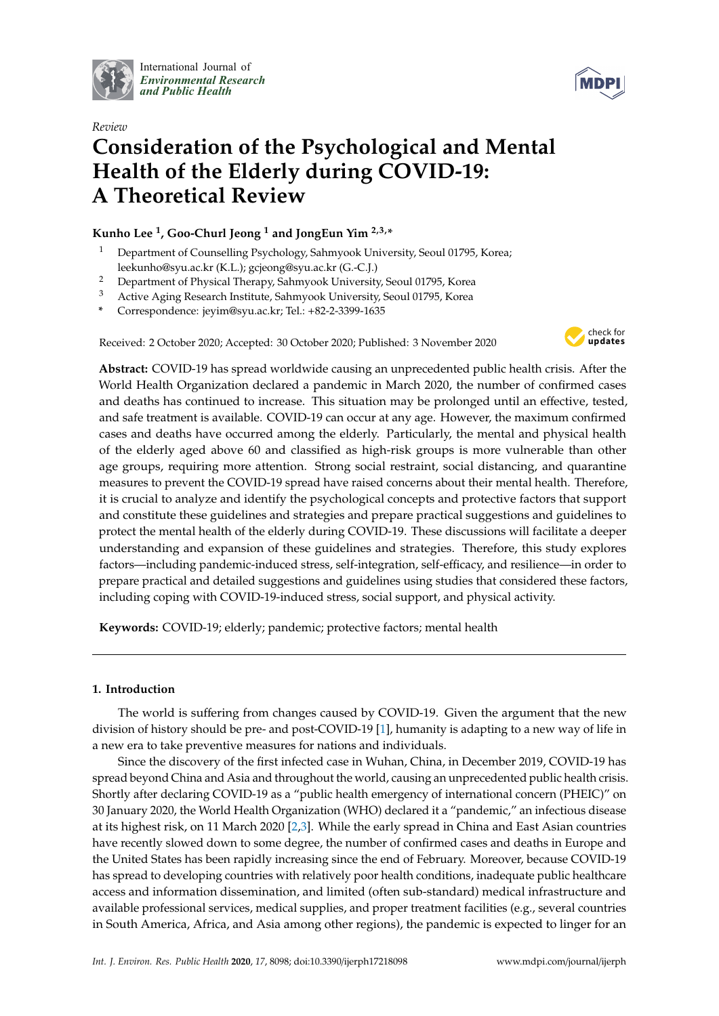

International Journal of *[Environmental Research](http://www.mdpi.com/journal/ijerph) and Public Health*



# *Review* **Consideration of the Psychological and Mental Health of the Elderly during COVID-19: A Theoretical Review**

# **Kunho Lee <sup>1</sup> , Goo-Churl Jeong <sup>1</sup> and JongEun Yim 2,3,\***

- <sup>1</sup> Department of Counselling Psychology, Sahmyook University, Seoul 01795, Korea; leekunho@syu.ac.kr (K.L.); gcjeong@syu.ac.kr (G.-C.J.)
- <sup>2</sup> Department of Physical Therapy, Sahmyook University, Seoul 01795, Korea
- <sup>3</sup> Active Aging Research Institute, Sahmyook University, Seoul 01795, Korea
- **\*** Correspondence: jeyim@syu.ac.kr; Tel.: +82-2-3399-1635

Received: 2 October 2020; Accepted: 30 October 2020; Published: 3 November 2020



**Abstract:** COVID-19 has spread worldwide causing an unprecedented public health crisis. After the World Health Organization declared a pandemic in March 2020, the number of confirmed cases and deaths has continued to increase. This situation may be prolonged until an effective, tested, and safe treatment is available. COVID-19 can occur at any age. However, the maximum confirmed cases and deaths have occurred among the elderly. Particularly, the mental and physical health of the elderly aged above 60 and classified as high-risk groups is more vulnerable than other age groups, requiring more attention. Strong social restraint, social distancing, and quarantine measures to prevent the COVID-19 spread have raised concerns about their mental health. Therefore, it is crucial to analyze and identify the psychological concepts and protective factors that support and constitute these guidelines and strategies and prepare practical suggestions and guidelines to protect the mental health of the elderly during COVID-19. These discussions will facilitate a deeper understanding and expansion of these guidelines and strategies. Therefore, this study explores factors—including pandemic-induced stress, self-integration, self-efficacy, and resilience—in order to prepare practical and detailed suggestions and guidelines using studies that considered these factors, including coping with COVID-19-induced stress, social support, and physical activity.

**Keywords:** COVID-19; elderly; pandemic; protective factors; mental health

## **1. Introduction**

The world is suffering from changes caused by COVID-19. Given the argument that the new division of history should be pre- and post-COVID-19 [\[1\]](#page-7-0), humanity is adapting to a new way of life in a new era to take preventive measures for nations and individuals.

Since the discovery of the first infected case in Wuhan, China, in December 2019, COVID-19 has spread beyond China and Asia and throughout the world, causing an unprecedented public health crisis. Shortly after declaring COVID-19 as a "public health emergency of international concern (PHEIC)" on 30 January 2020, the World Health Organization (WHO) declared it a "pandemic," an infectious disease at its highest risk, on 11 March 2020 [\[2,](#page-7-1)[3\]](#page-7-2). While the early spread in China and East Asian countries have recently slowed down to some degree, the number of confirmed cases and deaths in Europe and the United States has been rapidly increasing since the end of February. Moreover, because COVID-19 has spread to developing countries with relatively poor health conditions, inadequate public healthcare access and information dissemination, and limited (often sub-standard) medical infrastructure and available professional services, medical supplies, and proper treatment facilities (e.g., several countries in South America, Africa, and Asia among other regions), the pandemic is expected to linger for an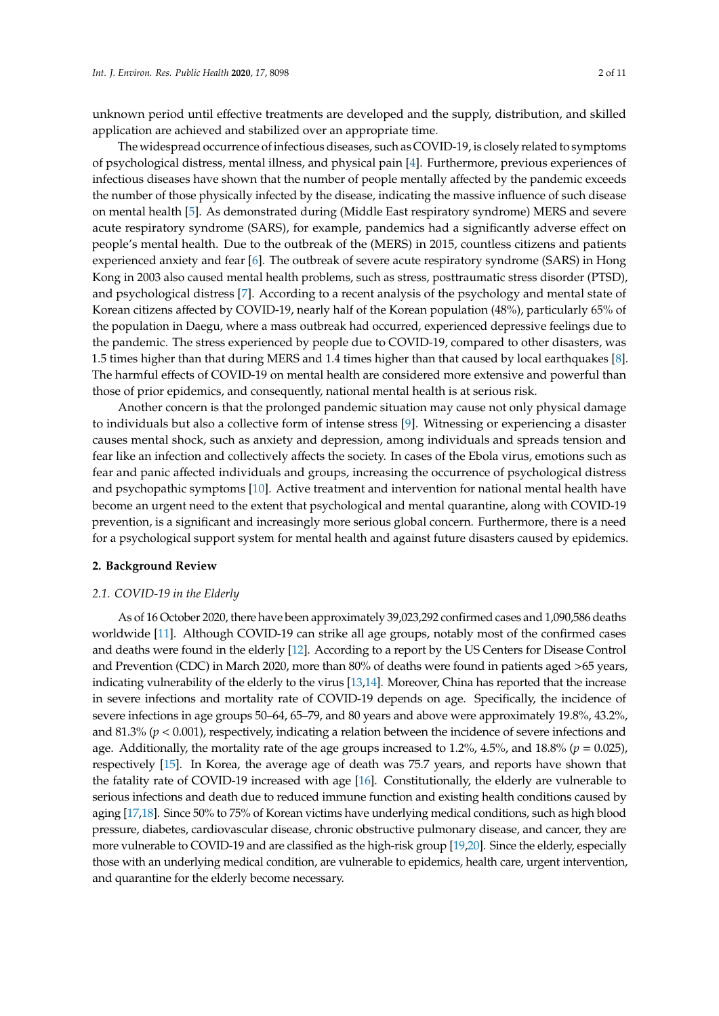unknown period until effective treatments are developed and the supply, distribution, and skilled application are achieved and stabilized over an appropriate time.

The widespread occurrence of infectious diseases, such as COVID-19, is closely related to symptoms of psychological distress, mental illness, and physical pain [\[4\]](#page-7-3). Furthermore, previous experiences of infectious diseases have shown that the number of people mentally affected by the pandemic exceeds the number of those physically infected by the disease, indicating the massive influence of such disease on mental health [\[5\]](#page-7-4). As demonstrated during (Middle East respiratory syndrome) MERS and severe acute respiratory syndrome (SARS), for example, pandemics had a significantly adverse effect on people's mental health. Due to the outbreak of the (MERS) in 2015, countless citizens and patients experienced anxiety and fear [\[6\]](#page-7-5). The outbreak of severe acute respiratory syndrome (SARS) in Hong Kong in 2003 also caused mental health problems, such as stress, posttraumatic stress disorder (PTSD), and psychological distress [\[7\]](#page-7-6). According to a recent analysis of the psychology and mental state of Korean citizens affected by COVID-19, nearly half of the Korean population (48%), particularly 65% of the population in Daegu, where a mass outbreak had occurred, experienced depressive feelings due to the pandemic. The stress experienced by people due to COVID-19, compared to other disasters, was 1.5 times higher than that during MERS and 1.4 times higher than that caused by local earthquakes [\[8\]](#page-7-7). The harmful effects of COVID-19 on mental health are considered more extensive and powerful than those of prior epidemics, and consequently, national mental health is at serious risk.

Another concern is that the prolonged pandemic situation may cause not only physical damage to individuals but also a collective form of intense stress [\[9\]](#page-7-8). Witnessing or experiencing a disaster causes mental shock, such as anxiety and depression, among individuals and spreads tension and fear like an infection and collectively affects the society. In cases of the Ebola virus, emotions such as fear and panic affected individuals and groups, increasing the occurrence of psychological distress and psychopathic symptoms [\[10\]](#page-7-9). Active treatment and intervention for national mental health have become an urgent need to the extent that psychological and mental quarantine, along with COVID-19 prevention, is a significant and increasingly more serious global concern. Furthermore, there is a need for a psychological support system for mental health and against future disasters caused by epidemics.

#### **2. Background Review**

#### *2.1. COVID-19 in the Elderly*

As of 16 October 2020, there have been approximately 39,023,292 confirmed cases and 1,090,586 deaths worldwide [\[11\]](#page-8-0). Although COVID-19 can strike all age groups, notably most of the confirmed cases and deaths were found in the elderly [\[12\]](#page-8-1). According to a report by the US Centers for Disease Control and Prevention (CDC) in March 2020, more than 80% of deaths were found in patients aged >65 years, indicating vulnerability of the elderly to the virus [\[13](#page-8-2)[,14\]](#page-8-3). Moreover, China has reported that the increase in severe infections and mortality rate of COVID-19 depends on age. Specifically, the incidence of severe infections in age groups 50–64, 65–79, and 80 years and above were approximately 19.8%, 43.2%, and 81.3% (*p* < 0.001), respectively, indicating a relation between the incidence of severe infections and age. Additionally, the mortality rate of the age groups increased to 1.2%, 4.5%, and 18.8% (*p* = 0.025), respectively [\[15\]](#page-8-4). In Korea, the average age of death was 75.7 years, and reports have shown that the fatality rate of COVID-19 increased with age [\[16\]](#page-8-5). Constitutionally, the elderly are vulnerable to serious infections and death due to reduced immune function and existing health conditions caused by aging [\[17](#page-8-6)[,18\]](#page-8-7). Since 50% to 75% of Korean victims have underlying medical conditions, such as high blood pressure, diabetes, cardiovascular disease, chronic obstructive pulmonary disease, and cancer, they are more vulnerable to COVID-19 and are classified as the high-risk group [\[19](#page-8-8)[,20\]](#page-8-9). Since the elderly, especially those with an underlying medical condition, are vulnerable to epidemics, health care, urgent intervention, and quarantine for the elderly become necessary.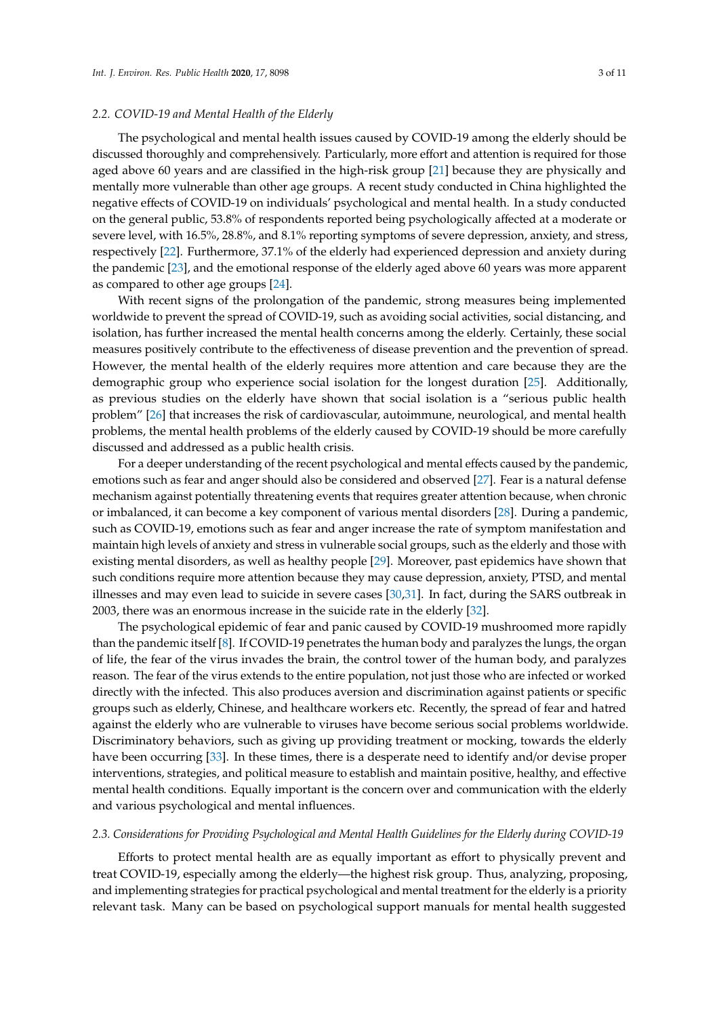#### *2.2. COVID-19 and Mental Health of the Elderly*

The psychological and mental health issues caused by COVID-19 among the elderly should be discussed thoroughly and comprehensively. Particularly, more effort and attention is required for those aged above 60 years and are classified in the high-risk group [\[21\]](#page-8-10) because they are physically and mentally more vulnerable than other age groups. A recent study conducted in China highlighted the negative effects of COVID-19 on individuals' psychological and mental health. In a study conducted on the general public, 53.8% of respondents reported being psychologically affected at a moderate or severe level, with 16.5%, 28.8%, and 8.1% reporting symptoms of severe depression, anxiety, and stress, respectively [\[22\]](#page-8-11). Furthermore, 37.1% of the elderly had experienced depression and anxiety during the pandemic [\[23\]](#page-8-12), and the emotional response of the elderly aged above 60 years was more apparent as compared to other age groups [\[24\]](#page-8-13).

With recent signs of the prolongation of the pandemic, strong measures being implemented worldwide to prevent the spread of COVID-19, such as avoiding social activities, social distancing, and isolation, has further increased the mental health concerns among the elderly. Certainly, these social measures positively contribute to the effectiveness of disease prevention and the prevention of spread. However, the mental health of the elderly requires more attention and care because they are the demographic group who experience social isolation for the longest duration [\[25\]](#page-8-14). Additionally, as previous studies on the elderly have shown that social isolation is a "serious public health problem" [\[26\]](#page-8-15) that increases the risk of cardiovascular, autoimmune, neurological, and mental health problems, the mental health problems of the elderly caused by COVID-19 should be more carefully discussed and addressed as a public health crisis.

For a deeper understanding of the recent psychological and mental effects caused by the pandemic, emotions such as fear and anger should also be considered and observed [\[27\]](#page-8-16). Fear is a natural defense mechanism against potentially threatening events that requires greater attention because, when chronic or imbalanced, it can become a key component of various mental disorders [\[28\]](#page-8-17). During a pandemic, such as COVID-19, emotions such as fear and anger increase the rate of symptom manifestation and maintain high levels of anxiety and stress in vulnerable social groups, such as the elderly and those with existing mental disorders, as well as healthy people [\[29\]](#page-8-18). Moreover, past epidemics have shown that such conditions require more attention because they may cause depression, anxiety, PTSD, and mental illnesses and may even lead to suicide in severe cases [\[30](#page-9-0)[,31\]](#page-9-1). In fact, during the SARS outbreak in 2003, there was an enormous increase in the suicide rate in the elderly [\[32\]](#page-9-2).

The psychological epidemic of fear and panic caused by COVID-19 mushroomed more rapidly than the pandemic itself [\[8\]](#page-7-7). If COVID-19 penetrates the human body and paralyzes the lungs, the organ of life, the fear of the virus invades the brain, the control tower of the human body, and paralyzes reason. The fear of the virus extends to the entire population, not just those who are infected or worked directly with the infected. This also produces aversion and discrimination against patients or specific groups such as elderly, Chinese, and healthcare workers etc. Recently, the spread of fear and hatred against the elderly who are vulnerable to viruses have become serious social problems worldwide. Discriminatory behaviors, such as giving up providing treatment or mocking, towards the elderly have been occurring [\[33\]](#page-9-3). In these times, there is a desperate need to identify and/or devise proper interventions, strategies, and political measure to establish and maintain positive, healthy, and effective mental health conditions. Equally important is the concern over and communication with the elderly and various psychological and mental influences.

#### *2.3. Considerations for Providing Psychological and Mental Health Guidelines for the Elderly during COVID-19*

Efforts to protect mental health are as equally important as effort to physically prevent and treat COVID-19, especially among the elderly—the highest risk group. Thus, analyzing, proposing, and implementing strategies for practical psychological and mental treatment for the elderly is a priority relevant task. Many can be based on psychological support manuals for mental health suggested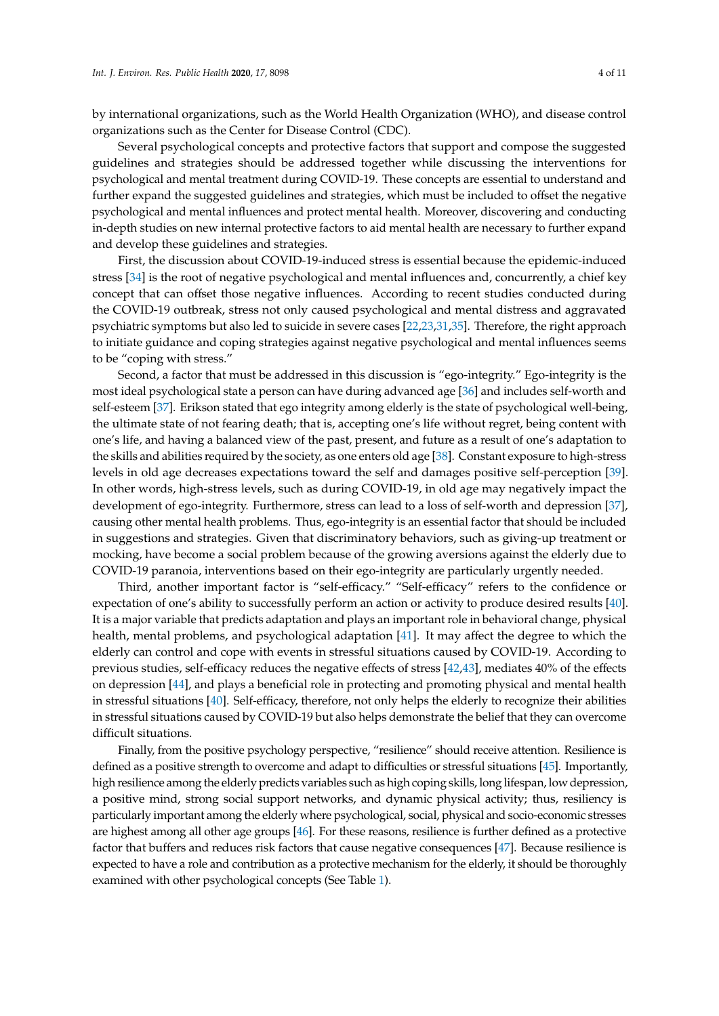by international organizations, such as the World Health Organization (WHO), and disease control organizations such as the Center for Disease Control (CDC).

Several psychological concepts and protective factors that support and compose the suggested guidelines and strategies should be addressed together while discussing the interventions for psychological and mental treatment during COVID-19. These concepts are essential to understand and further expand the suggested guidelines and strategies, which must be included to offset the negative psychological and mental influences and protect mental health. Moreover, discovering and conducting in-depth studies on new internal protective factors to aid mental health are necessary to further expand and develop these guidelines and strategies.

First, the discussion about COVID-19-induced stress is essential because the epidemic-induced stress [\[34\]](#page-9-4) is the root of negative psychological and mental influences and, concurrently, a chief key concept that can offset those negative influences. According to recent studies conducted during the COVID-19 outbreak, stress not only caused psychological and mental distress and aggravated psychiatric symptoms but also led to suicide in severe cases [\[22,](#page-8-11)[23](#page-8-12)[,31](#page-9-1)[,35\]](#page-9-5). Therefore, the right approach to initiate guidance and coping strategies against negative psychological and mental influences seems to be "coping with stress."

Second, a factor that must be addressed in this discussion is "ego-integrity." Ego-integrity is the most ideal psychological state a person can have during advanced age [\[36\]](#page-9-6) and includes self-worth and self-esteem [\[37\]](#page-9-7). Erikson stated that ego integrity among elderly is the state of psychological well-being, the ultimate state of not fearing death; that is, accepting one's life without regret, being content with one's life, and having a balanced view of the past, present, and future as a result of one's adaptation to the skills and abilities required by the society, as one enters old age [\[38\]](#page-9-8). Constant exposure to high-stress levels in old age decreases expectations toward the self and damages positive self-perception [\[39\]](#page-9-9). In other words, high-stress levels, such as during COVID-19, in old age may negatively impact the development of ego-integrity. Furthermore, stress can lead to a loss of self-worth and depression [\[37\]](#page-9-7), causing other mental health problems. Thus, ego-integrity is an essential factor that should be included in suggestions and strategies. Given that discriminatory behaviors, such as giving-up treatment or mocking, have become a social problem because of the growing aversions against the elderly due to COVID-19 paranoia, interventions based on their ego-integrity are particularly urgently needed.

Third, another important factor is "self-efficacy." "Self-efficacy" refers to the confidence or expectation of one's ability to successfully perform an action or activity to produce desired results [\[40\]](#page-9-10). It is a major variable that predicts adaptation and plays an important role in behavioral change, physical health, mental problems, and psychological adaptation [\[41\]](#page-9-11). It may affect the degree to which the elderly can control and cope with events in stressful situations caused by COVID-19. According to previous studies, self-efficacy reduces the negative effects of stress [\[42,](#page-9-12)[43\]](#page-9-13), mediates 40% of the effects on depression [\[44\]](#page-9-14), and plays a beneficial role in protecting and promoting physical and mental health in stressful situations [\[40\]](#page-9-10). Self-efficacy, therefore, not only helps the elderly to recognize their abilities in stressful situations caused by COVID-19 but also helps demonstrate the belief that they can overcome difficult situations.

Finally, from the positive psychology perspective, "resilience" should receive attention. Resilience is defined as a positive strength to overcome and adapt to difficulties or stressful situations [\[45\]](#page-9-15). Importantly, high resilience among the elderly predicts variables such as high coping skills, long lifespan, low depression, a positive mind, strong social support networks, and dynamic physical activity; thus, resiliency is particularly important among the elderly where psychological, social, physical and socio-economic stresses are highest among all other age groups [\[46\]](#page-9-16). For these reasons, resilience is further defined as a protective factor that buffers and reduces risk factors that cause negative consequences [\[47\]](#page-9-17). Because resilience is expected to have a role and contribution as a protective mechanism for the elderly, it should be thoroughly examined with other psychological concepts (See Table [1\)](#page-4-0).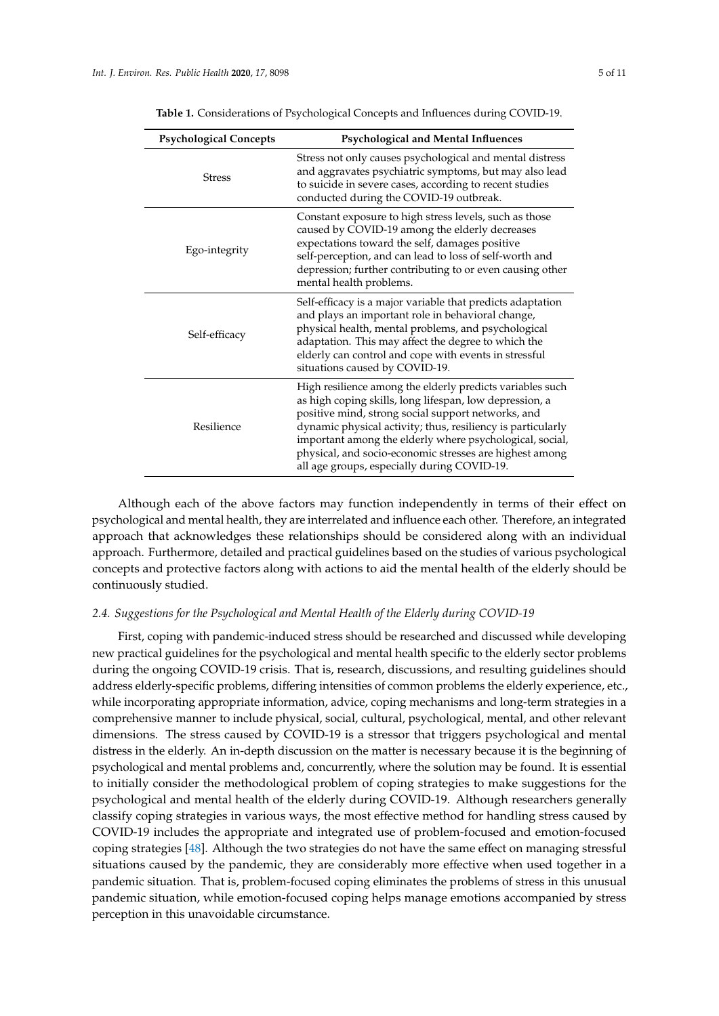<span id="page-4-0"></span>

| <b>Psychological Concepts</b> | Psychological and Mental Influences                                                                                                                                                                                                                                                                                                                                                                             |
|-------------------------------|-----------------------------------------------------------------------------------------------------------------------------------------------------------------------------------------------------------------------------------------------------------------------------------------------------------------------------------------------------------------------------------------------------------------|
| <b>Stress</b>                 | Stress not only causes psychological and mental distress<br>and aggravates psychiatric symptoms, but may also lead<br>to suicide in severe cases, according to recent studies<br>conducted during the COVID-19 outbreak.                                                                                                                                                                                        |
| Ego-integrity                 | Constant exposure to high stress levels, such as those<br>caused by COVID-19 among the elderly decreases<br>expectations toward the self, damages positive<br>self-perception, and can lead to loss of self-worth and<br>depression; further contributing to or even causing other<br>mental health problems.                                                                                                   |
| Self-efficacy                 | Self-efficacy is a major variable that predicts adaptation<br>and plays an important role in behavioral change,<br>physical health, mental problems, and psychological<br>adaptation. This may affect the degree to which the<br>elderly can control and cope with events in stressful<br>situations caused by COVID-19.                                                                                        |
| Resilience                    | High resilience among the elderly predicts variables such<br>as high coping skills, long lifespan, low depression, a<br>positive mind, strong social support networks, and<br>dynamic physical activity; thus, resiliency is particularly<br>important among the elderly where psychological, social,<br>physical, and socio-economic stresses are highest among<br>all age groups, especially during COVID-19. |

**Table 1.** Considerations of Psychological Concepts and Influences during COVID-19.

Although each of the above factors may function independently in terms of their effect on psychological and mental health, they are interrelated and influence each other. Therefore, an integrated approach that acknowledges these relationships should be considered along with an individual approach. Furthermore, detailed and practical guidelines based on the studies of various psychological concepts and protective factors along with actions to aid the mental health of the elderly should be continuously studied.

#### *2.4. Suggestions for the Psychological and Mental Health of the Elderly during COVID-19*

First, coping with pandemic-induced stress should be researched and discussed while developing new practical guidelines for the psychological and mental health specific to the elderly sector problems during the ongoing COVID-19 crisis. That is, research, discussions, and resulting guidelines should address elderly-specific problems, differing intensities of common problems the elderly experience, etc., while incorporating appropriate information, advice, coping mechanisms and long-term strategies in a comprehensive manner to include physical, social, cultural, psychological, mental, and other relevant dimensions. The stress caused by COVID-19 is a stressor that triggers psychological and mental distress in the elderly. An in-depth discussion on the matter is necessary because it is the beginning of psychological and mental problems and, concurrently, where the solution may be found. It is essential to initially consider the methodological problem of coping strategies to make suggestions for the psychological and mental health of the elderly during COVID-19. Although researchers generally classify coping strategies in various ways, the most effective method for handling stress caused by COVID-19 includes the appropriate and integrated use of problem-focused and emotion-focused coping strategies [\[48\]](#page-9-18). Although the two strategies do not have the same effect on managing stressful situations caused by the pandemic, they are considerably more effective when used together in a pandemic situation. That is, problem-focused coping eliminates the problems of stress in this unusual pandemic situation, while emotion-focused coping helps manage emotions accompanied by stress perception in this unavoidable circumstance.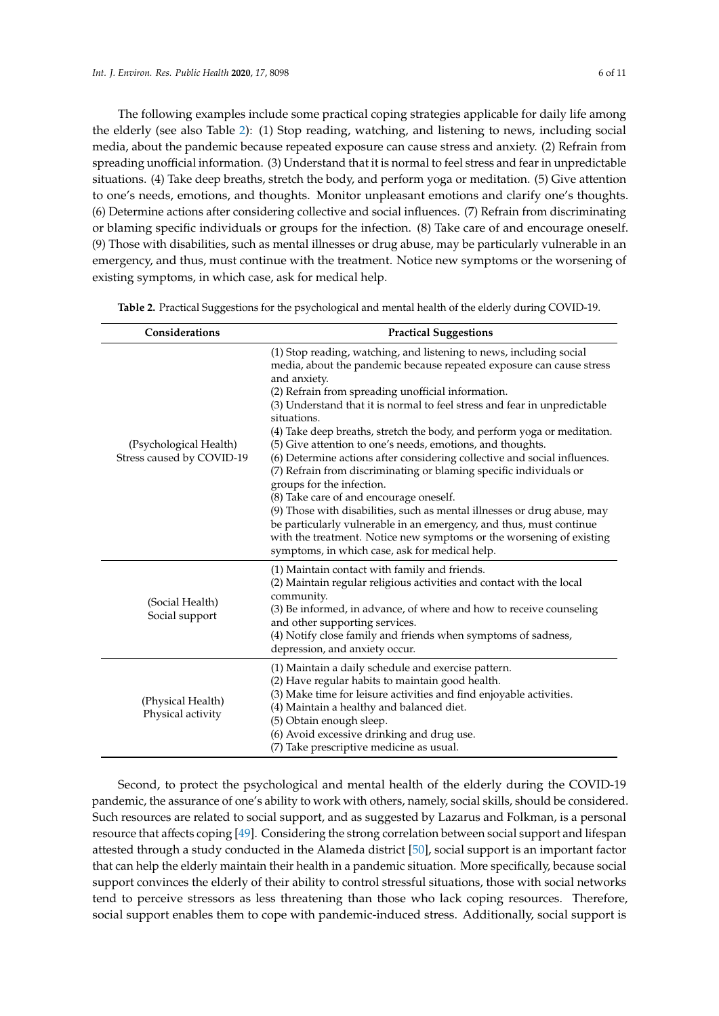The following examples include some practical coping strategies applicable for daily life among the elderly (see also Table [2\)](#page-5-0): (1) Stop reading, watching, and listening to news, including social media, about the pandemic because repeated exposure can cause stress and anxiety. (2) Refrain from spreading unofficial information. (3) Understand that it is normal to feel stress and fear in unpredictable situations. (4) Take deep breaths, stretch the body, and perform yoga or meditation. (5) Give attention to one's needs, emotions, and thoughts. Monitor unpleasant emotions and clarify one's thoughts. (6) Determine actions after considering collective and social influences. (7) Refrain from discriminating or blaming specific individuals or groups for the infection. (8) Take care of and encourage oneself. (9) Those with disabilities, such as mental illnesses or drug abuse, may be particularly vulnerable in an emergency, and thus, must continue with the treatment. Notice new symptoms or the worsening of existing symptoms, in which case, ask for medical help.

| Considerations                                      | <b>Practical Suggestions</b>                                                                                                                                                                                                                                                                                                                                                                                                                                                                                                                                                                                                                                                                                                                                                                                                                                                                                                                                    |
|-----------------------------------------------------|-----------------------------------------------------------------------------------------------------------------------------------------------------------------------------------------------------------------------------------------------------------------------------------------------------------------------------------------------------------------------------------------------------------------------------------------------------------------------------------------------------------------------------------------------------------------------------------------------------------------------------------------------------------------------------------------------------------------------------------------------------------------------------------------------------------------------------------------------------------------------------------------------------------------------------------------------------------------|
| (Psychological Health)<br>Stress caused by COVID-19 | (1) Stop reading, watching, and listening to news, including social<br>media, about the pandemic because repeated exposure can cause stress<br>and anxiety.<br>(2) Refrain from spreading unofficial information.<br>(3) Understand that it is normal to feel stress and fear in unpredictable<br>situations.<br>(4) Take deep breaths, stretch the body, and perform yoga or meditation.<br>(5) Give attention to one's needs, emotions, and thoughts.<br>(6) Determine actions after considering collective and social influences.<br>(7) Refrain from discriminating or blaming specific individuals or<br>groups for the infection.<br>(8) Take care of and encourage oneself.<br>(9) Those with disabilities, such as mental illnesses or drug abuse, may<br>be particularly vulnerable in an emergency, and thus, must continue<br>with the treatment. Notice new symptoms or the worsening of existing<br>symptoms, in which case, ask for medical help. |
| (Social Health)<br>Social support                   | (1) Maintain contact with family and friends.<br>(2) Maintain regular religious activities and contact with the local<br>community.<br>(3) Be informed, in advance, of where and how to receive counseling<br>and other supporting services.<br>(4) Notify close family and friends when symptoms of sadness,<br>depression, and anxiety occur.                                                                                                                                                                                                                                                                                                                                                                                                                                                                                                                                                                                                                 |
| (Physical Health)<br>Physical activity              | (1) Maintain a daily schedule and exercise pattern.<br>(2) Have regular habits to maintain good health.<br>(3) Make time for leisure activities and find enjoyable activities.<br>(4) Maintain a healthy and balanced diet.<br>(5) Obtain enough sleep.<br>(6) Avoid excessive drinking and drug use.<br>(7) Take prescriptive medicine as usual.                                                                                                                                                                                                                                                                                                                                                                                                                                                                                                                                                                                                               |

<span id="page-5-0"></span>**Table 2.** Practical Suggestions for the psychological and mental health of the elderly during COVID-19.

Second, to protect the psychological and mental health of the elderly during the COVID-19 pandemic, the assurance of one's ability to work with others, namely, social skills, should be considered. Such resources are related to social support, and as suggested by Lazarus and Folkman, is a personal resource that affects coping [\[49\]](#page-9-19). Considering the strong correlation between social support and lifespan attested through a study conducted in the Alameda district [\[50\]](#page-9-20), social support is an important factor that can help the elderly maintain their health in a pandemic situation. More specifically, because social support convinces the elderly of their ability to control stressful situations, those with social networks tend to perceive stressors as less threatening than those who lack coping resources. Therefore, social support enables them to cope with pandemic-induced stress. Additionally, social support is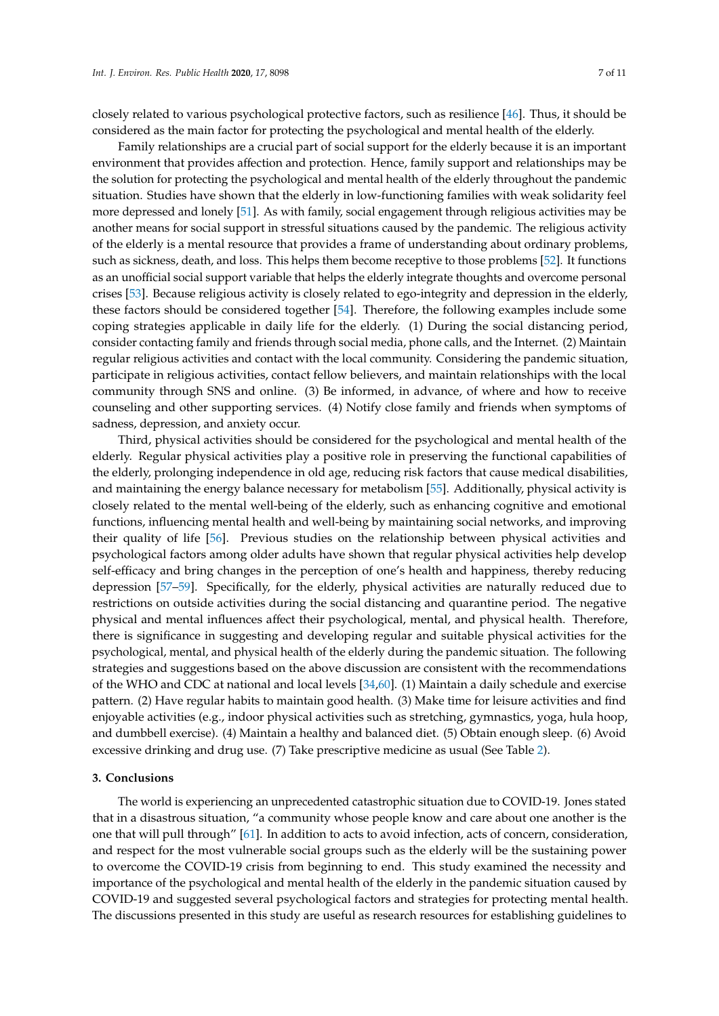closely related to various psychological protective factors, such as resilience [\[46\]](#page-9-16). Thus, it should be considered as the main factor for protecting the psychological and mental health of the elderly.

Family relationships are a crucial part of social support for the elderly because it is an important environment that provides affection and protection. Hence, family support and relationships may be the solution for protecting the psychological and mental health of the elderly throughout the pandemic situation. Studies have shown that the elderly in low-functioning families with weak solidarity feel more depressed and lonely [\[51\]](#page-9-21). As with family, social engagement through religious activities may be another means for social support in stressful situations caused by the pandemic. The religious activity of the elderly is a mental resource that provides a frame of understanding about ordinary problems, such as sickness, death, and loss. This helps them become receptive to those problems [\[52\]](#page-9-22). It functions as an unofficial social support variable that helps the elderly integrate thoughts and overcome personal crises [\[53\]](#page-9-23). Because religious activity is closely related to ego-integrity and depression in the elderly, these factors should be considered together [\[54\]](#page-9-24). Therefore, the following examples include some coping strategies applicable in daily life for the elderly. (1) During the social distancing period, consider contacting family and friends through social media, phone calls, and the Internet. (2) Maintain regular religious activities and contact with the local community. Considering the pandemic situation, participate in religious activities, contact fellow believers, and maintain relationships with the local community through SNS and online. (3) Be informed, in advance, of where and how to receive counseling and other supporting services. (4) Notify close family and friends when symptoms of sadness, depression, and anxiety occur.

Third, physical activities should be considered for the psychological and mental health of the elderly. Regular physical activities play a positive role in preserving the functional capabilities of the elderly, prolonging independence in old age, reducing risk factors that cause medical disabilities, and maintaining the energy balance necessary for metabolism [\[55\]](#page-9-25). Additionally, physical activity is closely related to the mental well-being of the elderly, such as enhancing cognitive and emotional functions, influencing mental health and well-being by maintaining social networks, and improving their quality of life [\[56\]](#page-10-0). Previous studies on the relationship between physical activities and psychological factors among older adults have shown that regular physical activities help develop self-efficacy and bring changes in the perception of one's health and happiness, thereby reducing depression [\[57–](#page-10-1)[59\]](#page-10-2). Specifically, for the elderly, physical activities are naturally reduced due to restrictions on outside activities during the social distancing and quarantine period. The negative physical and mental influences affect their psychological, mental, and physical health. Therefore, there is significance in suggesting and developing regular and suitable physical activities for the psychological, mental, and physical health of the elderly during the pandemic situation. The following strategies and suggestions based on the above discussion are consistent with the recommendations of the WHO and CDC at national and local levels [\[34](#page-9-4)[,60\]](#page-10-3). (1) Maintain a daily schedule and exercise pattern. (2) Have regular habits to maintain good health. (3) Make time for leisure activities and find enjoyable activities (e.g., indoor physical activities such as stretching, gymnastics, yoga, hula hoop, and dumbbell exercise). (4) Maintain a healthy and balanced diet. (5) Obtain enough sleep. (6) Avoid excessive drinking and drug use. (7) Take prescriptive medicine as usual (See Table [2\)](#page-5-0).

#### **3. Conclusions**

The world is experiencing an unprecedented catastrophic situation due to COVID-19. Jones stated that in a disastrous situation, "a community whose people know and care about one another is the one that will pull through" [\[61\]](#page-10-4). In addition to acts to avoid infection, acts of concern, consideration, and respect for the most vulnerable social groups such as the elderly will be the sustaining power to overcome the COVID-19 crisis from beginning to end. This study examined the necessity and importance of the psychological and mental health of the elderly in the pandemic situation caused by COVID-19 and suggested several psychological factors and strategies for protecting mental health. The discussions presented in this study are useful as research resources for establishing guidelines to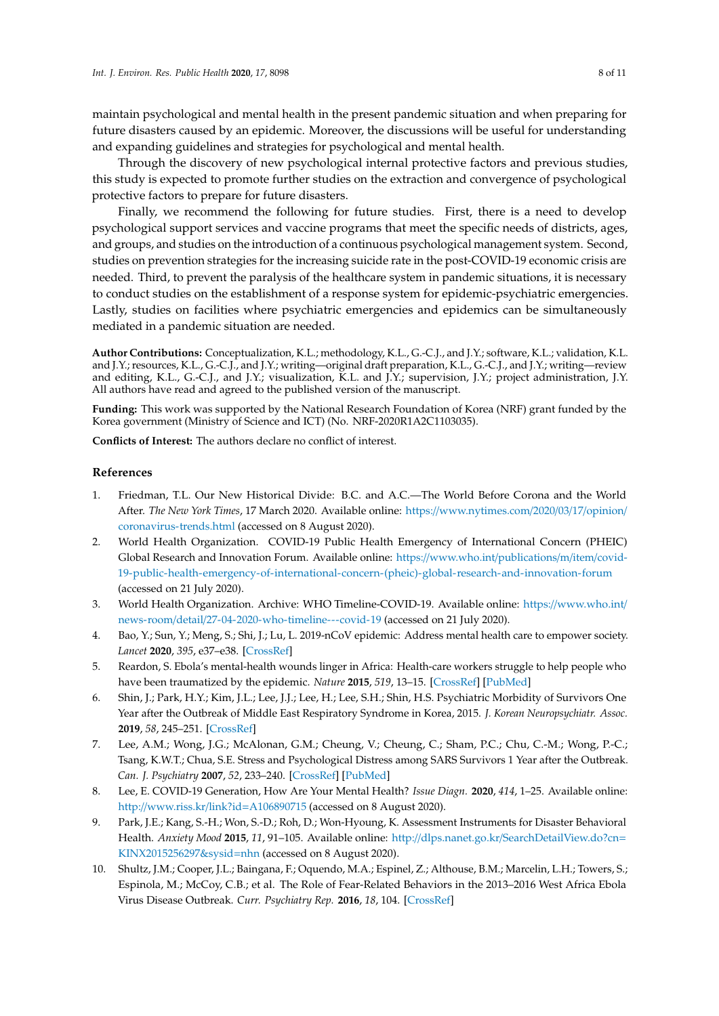maintain psychological and mental health in the present pandemic situation and when preparing for future disasters caused by an epidemic. Moreover, the discussions will be useful for understanding and expanding guidelines and strategies for psychological and mental health.

Through the discovery of new psychological internal protective factors and previous studies, this study is expected to promote further studies on the extraction and convergence of psychological protective factors to prepare for future disasters.

Finally, we recommend the following for future studies. First, there is a need to develop psychological support services and vaccine programs that meet the specific needs of districts, ages, and groups, and studies on the introduction of a continuous psychological management system. Second, studies on prevention strategies for the increasing suicide rate in the post-COVID-19 economic crisis are needed. Third, to prevent the paralysis of the healthcare system in pandemic situations, it is necessary to conduct studies on the establishment of a response system for epidemic-psychiatric emergencies. Lastly, studies on facilities where psychiatric emergencies and epidemics can be simultaneously mediated in a pandemic situation are needed.

**Author Contributions:** Conceptualization, K.L.; methodology, K.L., G.-C.J., and J.Y.; software, K.L.; validation, K.L. and J.Y.; resources, K.L., G.-C.J., and J.Y.; writing—original draft preparation, K.L., G.-C.J., and J.Y.; writing—review and editing, K.L., G.-C.J., and J.Y.; visualization, K.L. and J.Y.; supervision, J.Y.; project administration, J.Y. All authors have read and agreed to the published version of the manuscript.

**Funding:** This work was supported by the National Research Foundation of Korea (NRF) grant funded by the Korea government (Ministry of Science and ICT) (No. NRF-2020R1A2C1103035).

**Conflicts of Interest:** The authors declare no conflict of interest.

### **References**

- <span id="page-7-0"></span>1. Friedman, T.L. Our New Historical Divide: B.C. and A.C.—The World Before Corona and the World After. *The New York Times*, 17 March 2020. Available online: https://[www.nytimes.com](https://www.nytimes.com/2020/03/17/opinion/coronavirus-trends.html)/2020/03/17/opinion/ [coronavirus-trends.html](https://www.nytimes.com/2020/03/17/opinion/coronavirus-trends.html) (accessed on 8 August 2020).
- <span id="page-7-1"></span>2. World Health Organization. COVID-19 Public Health Emergency of International Concern (PHEIC) Global Research and Innovation Forum. Available online: https://[www.who.int](https://www.who.int/publications/m/item/covid-19-public-health-emergency-of-international-concern-(pheic)-global-research-and-innovation-forum)/publications/m/item/covid-[19-public-health-emergency-of-international-concern-\(pheic\)-global-research-and-innovation-forum](https://www.who.int/publications/m/item/covid-19-public-health-emergency-of-international-concern-(pheic)-global-research-and-innovation-forum) (accessed on 21 July 2020).
- <span id="page-7-2"></span>3. World Health Organization. Archive: WHO Timeline-COVID-19. Available online: https://[www.who.int](https://www.who.int/news-room/detail/27-04-2020-who-timeline---covid-19)/ news-room/detail/[27-04-2020-who-timeline---covid-19](https://www.who.int/news-room/detail/27-04-2020-who-timeline---covid-19) (accessed on 21 July 2020).
- <span id="page-7-3"></span>4. Bao, Y.; Sun, Y.; Meng, S.; Shi, J.; Lu, L. 2019-nCoV epidemic: Address mental health care to empower society. *Lancet* **2020**, *395*, e37–e38. [\[CrossRef\]](http://dx.doi.org/10.1016/S0140-6736(20)30309-3)
- <span id="page-7-4"></span>5. Reardon, S. Ebola's mental-health wounds linger in Africa: Health-care workers struggle to help people who have been traumatized by the epidemic. *Nature* **2015**, *519*, 13–15. [\[CrossRef\]](http://dx.doi.org/10.1038/519013a) [\[PubMed\]](http://www.ncbi.nlm.nih.gov/pubmed/25739606)
- <span id="page-7-5"></span>6. Shin, J.; Park, H.Y.; Kim, J.L.; Lee, J.J.; Lee, H.; Lee, S.H.; Shin, H.S. Psychiatric Morbidity of Survivors One Year after the Outbreak of Middle East Respiratory Syndrome in Korea, 2015. *J. Korean Neuropsychiatr. Assoc.* **2019**, *58*, 245–251. [\[CrossRef\]](http://dx.doi.org/10.4306/jknpa.2019.58.3.245)
- <span id="page-7-6"></span>7. Lee, A.M.; Wong, J.G.; McAlonan, G.M.; Cheung, V.; Cheung, C.; Sham, P.C.; Chu, C.-M.; Wong, P.-C.; Tsang, K.W.T.; Chua, S.E. Stress and Psychological Distress among SARS Survivors 1 Year after the Outbreak. *Can. J. Psychiatry* **2007**, *52*, 233–240. [\[CrossRef\]](http://dx.doi.org/10.1177/070674370705200405) [\[PubMed\]](http://www.ncbi.nlm.nih.gov/pubmed/17500304)
- <span id="page-7-7"></span>8. Lee, E. COVID-19 Generation, How Are Your Mental Health? *Issue Diagn.* **2020**, *414*, 1–25. Available online: http://[www.riss.kr](http://www.riss.kr/link?id=A106890715)/link?id=A106890715 (accessed on 8 August 2020).
- <span id="page-7-8"></span>9. Park, J.E.; Kang, S.-H.; Won, S.-D.; Roh, D.; Won-Hyoung, K. Assessment Instruments for Disaster Behavioral Health. *Anxiety Mood* **2015**, *11*, 91–105. Available online: http://dlps.nanet.go.kr/[SearchDetailView.do?cn](http://dlps.nanet.go.kr/SearchDetailView.do?cn=KINX2015256297&sysid=nhn)= [KINX2015256297&sysid](http://dlps.nanet.go.kr/SearchDetailView.do?cn=KINX2015256297&sysid=nhn)=nhn (accessed on 8 August 2020).
- <span id="page-7-9"></span>10. Shultz, J.M.; Cooper, J.L.; Baingana, F.; Oquendo, M.A.; Espinel, Z.; Althouse, B.M.; Marcelin, L.H.; Towers, S.; Espinola, M.; McCoy, C.B.; et al. The Role of Fear-Related Behaviors in the 2013–2016 West Africa Ebola Virus Disease Outbreak. *Curr. Psychiatry Rep.* **2016**, *18*, 104. [\[CrossRef\]](http://dx.doi.org/10.1007/s11920-016-0741-y)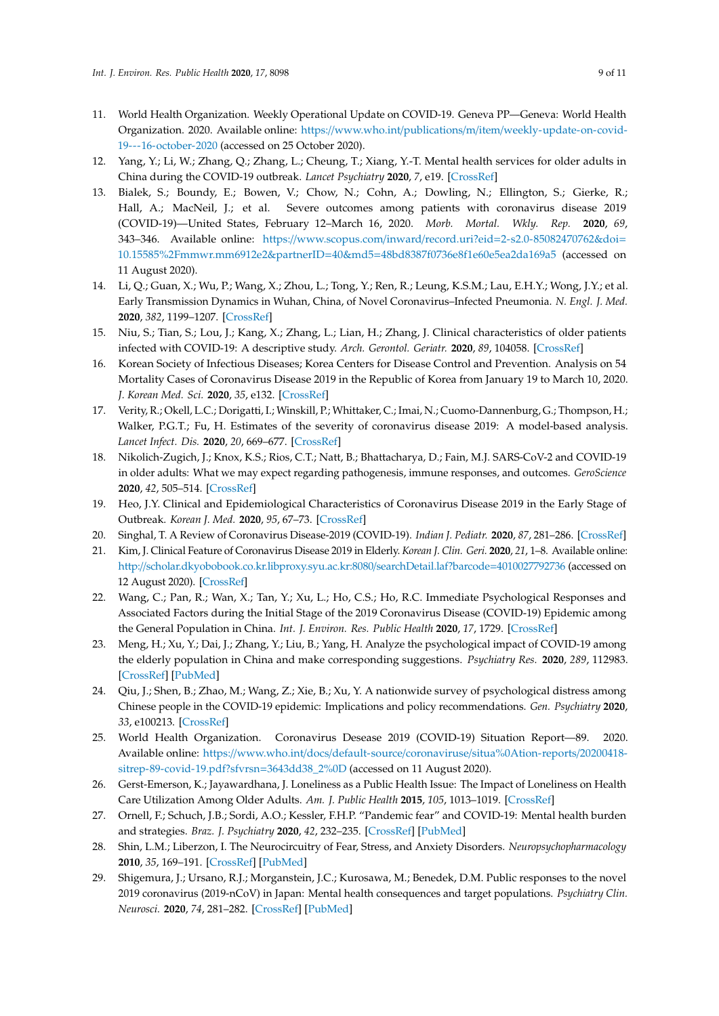- <span id="page-8-0"></span>11. World Health Organization. Weekly Operational Update on COVID-19. Geneva PP—Geneva: World Health Organization. 2020. Available online: https://www.who.int/publications/m/item/[weekly-update-on-covid-](https://www.who.int/publications/m/item/weekly-update-on-covid-19---16-october-2020)[19---16-october-2020](https://www.who.int/publications/m/item/weekly-update-on-covid-19---16-october-2020) (accessed on 25 October 2020).
- <span id="page-8-1"></span>12. Yang, Y.; Li, W.; Zhang, Q.; Zhang, L.; Cheung, T.; Xiang, Y.-T. Mental health services for older adults in China during the COVID-19 outbreak. *Lancet Psychiatry* **2020**, *7*, e19. [\[CrossRef\]](http://dx.doi.org/10.1016/S2215-0366(20)30079-1)
- <span id="page-8-2"></span>13. Bialek, S.; Boundy, E.; Bowen, V.; Chow, N.; Cohn, A.; Dowling, N.; Ellington, S.; Gierke, R.; Hall, A.; MacNeil, J.; et al. Severe outcomes among patients with coronavirus disease 2019 (COVID-19)—United States, February 12–March 16, 2020. *Morb. Mortal. Wkly. Rep.* **2020**, *69*, 343–346. Available online: https://www.scopus.com/inward/record.uri?eid=[2-s2.0-85082470762&doi](https://www.scopus.com/inward/record.uri?eid=2-s2.0-85082470762&doi=10.15585%2Fmmwr.mm6912e2&partnerID=40&md5=48bd8387f0736e8f1e60e5ea2da169a5)= [10.15585%2Fmmwr.mm6912e2&partnerID](https://www.scopus.com/inward/record.uri?eid=2-s2.0-85082470762&doi=10.15585%2Fmmwr.mm6912e2&partnerID=40&md5=48bd8387f0736e8f1e60e5ea2da169a5)=40&md5=48bd8387f0736e8f1e60e5ea2da169a5 (accessed on 11 August 2020).
- <span id="page-8-3"></span>14. Li, Q.; Guan, X.; Wu, P.; Wang, X.; Zhou, L.; Tong, Y.; Ren, R.; Leung, K.S.M.; Lau, E.H.Y.; Wong, J.Y.; et al. Early Transmission Dynamics in Wuhan, China, of Novel Coronavirus–Infected Pneumonia. *N. Engl. J. Med.* **2020**, *382*, 1199–1207. [\[CrossRef\]](http://dx.doi.org/10.1056/NEJMoa2001316)
- <span id="page-8-4"></span>15. Niu, S.; Tian, S.; Lou, J.; Kang, X.; Zhang, L.; Lian, H.; Zhang, J. Clinical characteristics of older patients infected with COVID-19: A descriptive study. *Arch. Gerontol. Geriatr.* **2020**, *89*, 104058. [\[CrossRef\]](http://dx.doi.org/10.1016/j.archger.2020.104058)
- <span id="page-8-5"></span>16. Korean Society of Infectious Diseases; Korea Centers for Disease Control and Prevention. Analysis on 54 Mortality Cases of Coronavirus Disease 2019 in the Republic of Korea from January 19 to March 10, 2020. *J. Korean Med. Sci.* **2020**, *35*, e132. [\[CrossRef\]](http://dx.doi.org/10.3346/jkms.2020.35.e132)
- <span id="page-8-6"></span>17. Verity, R.; Okell, L.C.; Dorigatti, I.; Winskill, P.; Whittaker, C.; Imai, N.; Cuomo-Dannenburg, G.; Thompson, H.; Walker, P.G.T.; Fu, H. Estimates of the severity of coronavirus disease 2019: A model-based analysis. *Lancet Infect. Dis.* **2020**, *20*, 669–677. [\[CrossRef\]](http://dx.doi.org/10.1016/S1473-3099(20)30243-7)
- <span id="page-8-7"></span>18. Nikolich-Zugich, J.; Knox, K.S.; Rios, C.T.; Natt, B.; Bhattacharya, D.; Fain, M.J. SARS-CoV-2 and COVID-19 in older adults: What we may expect regarding pathogenesis, immune responses, and outcomes. *GeroScience* **2020**, *42*, 505–514. [\[CrossRef\]](http://dx.doi.org/10.1007/s11357-020-00186-0)
- <span id="page-8-8"></span>19. Heo, J.Y. Clinical and Epidemiological Characteristics of Coronavirus Disease 2019 in the Early Stage of Outbreak. *Korean J. Med.* **2020**, *95*, 67–73. [\[CrossRef\]](http://dx.doi.org/10.3904/kjm.2020.95.2.67)
- <span id="page-8-9"></span>20. Singhal, T. A Review of Coronavirus Disease-2019 (COVID-19). *Indian J. Pediatr.* **2020**, *87*, 281–286. [\[CrossRef\]](http://dx.doi.org/10.1007/s12098-020-03263-6)
- <span id="page-8-10"></span>21. Kim, J. Clinical Feature of Coronavirus Disease 2019 in Elderly. *Korean J. Clin. Geri.* **2020**, *21*, 1–8. Available online: http://[scholar.dkyobobook.co.kr.libproxy.syu.ac.kr:8080](http://scholar.dkyobobook.co.kr.libproxy.syu.ac.kr:8080/searchDetail.laf?barcode=4010027792736)/searchDetail.laf?barcode=4010027792736 (accessed on 12 August 2020). [\[CrossRef\]](http://dx.doi.org/10.15656/kjcg.2020.21.1.1)
- <span id="page-8-11"></span>22. Wang, C.; Pan, R.; Wan, X.; Tan, Y.; Xu, L.; Ho, C.S.; Ho, R.C. Immediate Psychological Responses and Associated Factors during the Initial Stage of the 2019 Coronavirus Disease (COVID-19) Epidemic among the General Population in China. *Int. J. Environ. Res. Public Health* **2020**, *17*, 1729. [\[CrossRef\]](http://dx.doi.org/10.3390/ijerph17051729)
- <span id="page-8-12"></span>23. Meng, H.; Xu, Y.; Dai, J.; Zhang, Y.; Liu, B.; Yang, H. Analyze the psychological impact of COVID-19 among the elderly population in China and make corresponding suggestions. *Psychiatry Res.* **2020**, *289*, 112983. [\[CrossRef\]](http://dx.doi.org/10.1016/j.psychres.2020.112983) [\[PubMed\]](http://www.ncbi.nlm.nih.gov/pubmed/32388175)
- <span id="page-8-13"></span>24. Qiu, J.; Shen, B.; Zhao, M.; Wang, Z.; Xie, B.; Xu, Y. A nationwide survey of psychological distress among Chinese people in the COVID-19 epidemic: Implications and policy recommendations. *Gen. Psychiatry* **2020**, *33*, e100213. [\[CrossRef\]](http://dx.doi.org/10.1136/gpsych-2020-100213)
- <span id="page-8-14"></span>25. World Health Organization. Coronavirus Desease 2019 (COVID-19) Situation Report—89. 2020. Available online: https://www.who.int/docs/default-source/coronaviruse/[situa%0Ation-reports](https://www.who.int/docs/default-source/coronaviruse/situa%0Ation-reports/20200418-sitrep-89-covid-19.pdf?sfvrsn=3643dd38_2%0D)/20200418 [sitrep-89-covid-19.pdf?sfvrsn](https://www.who.int/docs/default-source/coronaviruse/situa%0Ation-reports/20200418-sitrep-89-covid-19.pdf?sfvrsn=3643dd38_2%0D)=3643dd38\_2%0D (accessed on 11 August 2020).
- <span id="page-8-15"></span>26. Gerst-Emerson, K.; Jayawardhana, J. Loneliness as a Public Health Issue: The Impact of Loneliness on Health Care Utilization Among Older Adults. *Am. J. Public Health* **2015**, *105*, 1013–1019. [\[CrossRef\]](http://dx.doi.org/10.2105/AJPH.2014.302427)
- <span id="page-8-16"></span>27. Ornell, F.; Schuch, J.B.; Sordi, A.O.; Kessler, F.H.P. "Pandemic fear" and COVID-19: Mental health burden and strategies. *Braz. J. Psychiatry* **2020**, *42*, 232–235. [\[CrossRef\]](http://dx.doi.org/10.1590/1516-4446-2020-0008) [\[PubMed\]](http://www.ncbi.nlm.nih.gov/pubmed/32267343)
- <span id="page-8-17"></span>28. Shin, L.M.; Liberzon, I. The Neurocircuitry of Fear, Stress, and Anxiety Disorders. *Neuropsychopharmacology* **2010**, *35*, 169–191. [\[CrossRef\]](http://dx.doi.org/10.1038/npp.2009.83) [\[PubMed\]](http://www.ncbi.nlm.nih.gov/pubmed/19625997)
- <span id="page-8-18"></span>29. Shigemura, J.; Ursano, R.J.; Morganstein, J.C.; Kurosawa, M.; Benedek, D.M. Public responses to the novel 2019 coronavirus (2019-nCoV) in Japan: Mental health consequences and target populations. *Psychiatry Clin. Neurosci.* **2020**, *74*, 281–282. [\[CrossRef\]](http://dx.doi.org/10.1111/pcn.12988) [\[PubMed\]](http://www.ncbi.nlm.nih.gov/pubmed/32034840)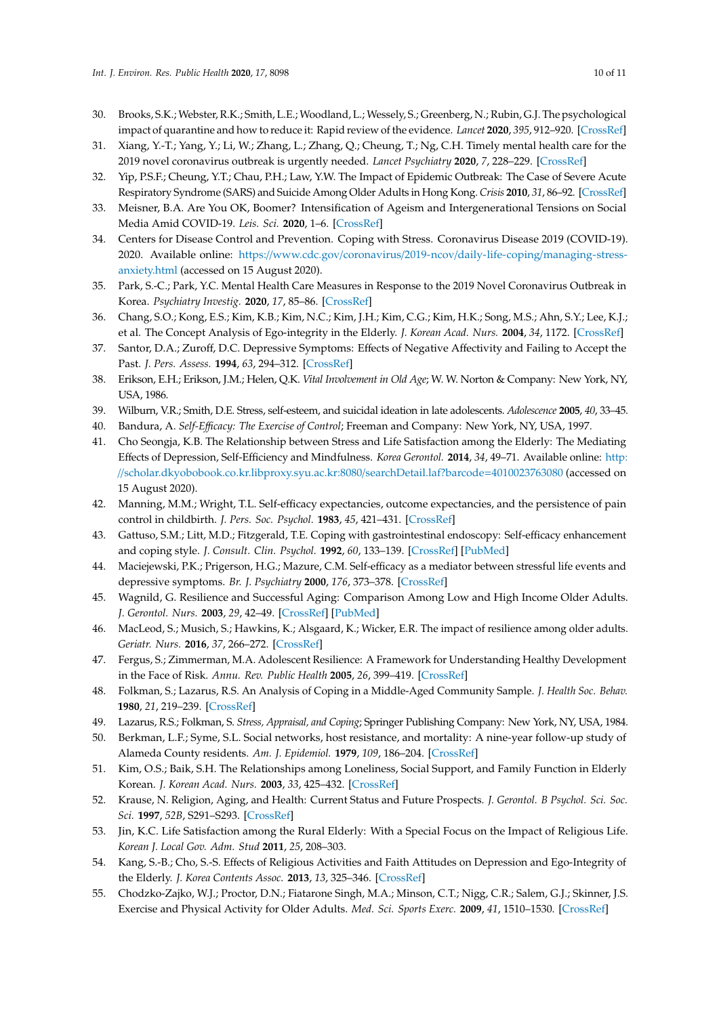- <span id="page-9-0"></span>30. Brooks, S.K.; Webster, R.K.; Smith, L.E.; Woodland, L.; Wessely, S.; Greenberg, N.; Rubin, G.J. The psychological impact of quarantine and how to reduce it: Rapid review of the evidence. *Lancet* **2020**, *395*, 912–920. [\[CrossRef\]](http://dx.doi.org/10.1016/S0140-6736(20)30460-8)
- <span id="page-9-1"></span>31. Xiang, Y.-T.; Yang, Y.; Li, W.; Zhang, L.; Zhang, Q.; Cheung, T.; Ng, C.H. Timely mental health care for the 2019 novel coronavirus outbreak is urgently needed. *Lancet Psychiatry* **2020**, *7*, 228–229. [\[CrossRef\]](http://dx.doi.org/10.1016/S2215-0366(20)30046-8)
- <span id="page-9-2"></span>32. Yip, P.S.F.; Cheung, Y.T.; Chau, P.H.; Law, Y.W. The Impact of Epidemic Outbreak: The Case of Severe Acute Respiratory Syndrome (SARS) and Suicide Among Older Adults in Hong Kong. *Crisis* **2010**, *31*, 86–92. [\[CrossRef\]](http://dx.doi.org/10.1027/0227-5910/a000015)
- <span id="page-9-3"></span>33. Meisner, B.A. Are You OK, Boomer? Intensification of Ageism and Intergenerational Tensions on Social Media Amid COVID-19. *Leis. Sci.* **2020**, 1–6. [\[CrossRef\]](http://dx.doi.org/10.1080/01490400.2020.1773983)
- <span id="page-9-4"></span>34. Centers for Disease Control and Prevention. Coping with Stress. Coronavirus Disease 2019 (COVID-19). 2020. Available online: https://www.cdc.gov/coronavirus/2019-ncov/daily-life-coping/[managing-stress](https://www.cdc.gov/coronavirus/2019-ncov/daily-life-coping/managing-stress-anxiety.html)[anxiety.html](https://www.cdc.gov/coronavirus/2019-ncov/daily-life-coping/managing-stress-anxiety.html) (accessed on 15 August 2020).
- <span id="page-9-5"></span>35. Park, S.-C.; Park, Y.C. Mental Health Care Measures in Response to the 2019 Novel Coronavirus Outbreak in Korea. *Psychiatry Investig.* **2020**, *17*, 85–86. [\[CrossRef\]](http://dx.doi.org/10.30773/pi.2020.0058)
- <span id="page-9-6"></span>36. Chang, S.O.; Kong, E.S.; Kim, K.B.; Kim, N.C.; Kim, J.H.; Kim, C.G.; Kim, H.K.; Song, M.S.; Ahn, S.Y.; Lee, K.J.; et al. The Concept Analysis of Ego-integrity in the Elderly. *J. Korean Acad. Nurs.* **2004**, *34*, 1172. [\[CrossRef\]](http://dx.doi.org/10.4040/jkan.2004.34.7.1172)
- <span id="page-9-7"></span>37. Santor, D.A.; Zuroff, D.C. Depressive Symptoms: Effects of Negative Affectivity and Failing to Accept the Past. *J. Pers. Assess.* **1994**, *63*, 294–312. [\[CrossRef\]](http://dx.doi.org/10.1207/s15327752jpa6302_9)
- <span id="page-9-8"></span>38. Erikson, E.H.; Erikson, J.M.; Helen, Q.K. *Vital Involvement in Old Age*; W. W. Norton & Company: New York, NY, USA, 1986.
- <span id="page-9-9"></span>39. Wilburn, V.R.; Smith, D.E. Stress, self-esteem, and suicidal ideation in late adolescents. *Adolescence* **2005**, *40*, 33–45.
- <span id="page-9-10"></span>40. Bandura, A. *Self-E*ffi*cacy: The Exercise of Control*; Freeman and Company: New York, NY, USA, 1997.
- <span id="page-9-11"></span>41. Cho Seongja, K.B. The Relationship between Stress and Life Satisfaction among the Elderly: The Mediating Effects of Depression, Self-Efficiency and Mindfulness. *Korea Gerontol.* **2014**, *34*, 49–71. Available online: [http:](http://scholar.dkyobobook.co.kr.libproxy.syu.ac.kr:8080/searchDetail.laf?barcode=4010023763080) //[scholar.dkyobobook.co.kr.libproxy.syu.ac.kr:8080](http://scholar.dkyobobook.co.kr.libproxy.syu.ac.kr:8080/searchDetail.laf?barcode=4010023763080)/searchDetail.laf?barcode=4010023763080 (accessed on 15 August 2020).
- <span id="page-9-12"></span>42. Manning, M.M.; Wright, T.L. Self-efficacy expectancies, outcome expectancies, and the persistence of pain control in childbirth. *J. Pers. Soc. Psychol.* **1983**, *45*, 421–431. [\[CrossRef\]](http://dx.doi.org/10.1037/0022-3514.45.2.421)
- <span id="page-9-13"></span>43. Gattuso, S.M.; Litt, M.D.; Fitzgerald, T.E. Coping with gastrointestinal endoscopy: Self-efficacy enhancement and coping style. *J. Consult. Clin. Psychol.* **1992**, *60*, 133–139. [\[CrossRef\]](http://dx.doi.org/10.1037/0022-006X.60.1.133) [\[PubMed\]](http://www.ncbi.nlm.nih.gov/pubmed/1556276)
- <span id="page-9-14"></span>44. Maciejewski, P.K.; Prigerson, H.G.; Mazure, C.M. Self-efficacy as a mediator between stressful life events and depressive symptoms. *Br. J. Psychiatry* **2000**, *176*, 373–378. [\[CrossRef\]](http://dx.doi.org/10.1192/bjp.176.4.373)
- <span id="page-9-15"></span>45. Wagnild, G. Resilience and Successful Aging: Comparison Among Low and High Income Older Adults. *J. Gerontol. Nurs.* **2003**, *29*, 42–49. [\[CrossRef\]](http://dx.doi.org/10.3928/0098-9134-20031201-09) [\[PubMed\]](http://www.ncbi.nlm.nih.gov/pubmed/14692243)
- <span id="page-9-16"></span>46. MacLeod, S.; Musich, S.; Hawkins, K.; Alsgaard, K.; Wicker, E.R. The impact of resilience among older adults. *Geriatr. Nurs.* **2016**, *37*, 266–272. [\[CrossRef\]](http://dx.doi.org/10.1016/j.gerinurse.2016.02.014)
- <span id="page-9-17"></span>47. Fergus, S.; Zimmerman, M.A. Adolescent Resilience: A Framework for Understanding Healthy Development in the Face of Risk. *Annu. Rev. Public Health* **2005**, *26*, 399–419. [\[CrossRef\]](http://dx.doi.org/10.1146/annurev.publhealth.26.021304.144357)
- <span id="page-9-18"></span>48. Folkman, S.; Lazarus, R.S. An Analysis of Coping in a Middle-Aged Community Sample. *J. Health Soc. Behav.* **1980**, *21*, 219–239. [\[CrossRef\]](http://dx.doi.org/10.2307/2136617)
- <span id="page-9-19"></span>49. Lazarus, R.S.; Folkman, S. *Stress, Appraisal, and Coping*; Springer Publishing Company: New York, NY, USA, 1984.
- <span id="page-9-20"></span>50. Berkman, L.F.; Syme, S.L. Social networks, host resistance, and mortality: A nine-year follow-up study of Alameda County residents. *Am. J. Epidemiol.* **1979**, *109*, 186–204. [\[CrossRef\]](http://dx.doi.org/10.1093/oxfordjournals.aje.a112674)
- <span id="page-9-21"></span>51. Kim, O.S.; Baik, S.H. The Relationships among Loneliness, Social Support, and Family Function in Elderly Korean. *J. Korean Acad. Nurs.* **2003**, *33*, 425–432. [\[CrossRef\]](http://dx.doi.org/10.4040/jkan.2003.33.3.425)
- <span id="page-9-22"></span>52. Krause, N. Religion, Aging, and Health: Current Status and Future Prospects. *J. Gerontol. B Psychol. Sci. Soc. Sci.* **1997**, *52B*, S291–S293. [\[CrossRef\]](http://dx.doi.org/10.1093/geronb/52B.6.S291)
- <span id="page-9-23"></span>53. Jin, K.C. Life Satisfaction among the Rural Elderly: With a Special Focus on the Impact of Religious Life. *Korean J. Local Gov. Adm. Stud* **2011**, *25*, 208–303.
- <span id="page-9-24"></span>54. Kang, S.-B.; Cho, S.-S. Effects of Religious Activities and Faith Attitudes on Depression and Ego-Integrity of the Elderly. *J. Korea Contents Assoc.* **2013**, *13*, 325–346. [\[CrossRef\]](http://dx.doi.org/10.5392/JKCA.2013.13.10.325)
- <span id="page-9-25"></span>55. Chodzko-Zajko, W.J.; Proctor, D.N.; Fiatarone Singh, M.A.; Minson, C.T.; Nigg, C.R.; Salem, G.J.; Skinner, J.S. Exercise and Physical Activity for Older Adults. *Med. Sci. Sports Exerc.* **2009**, *41*, 1510–1530. [\[CrossRef\]](http://dx.doi.org/10.1249/MSS.0b013e3181a0c95c)